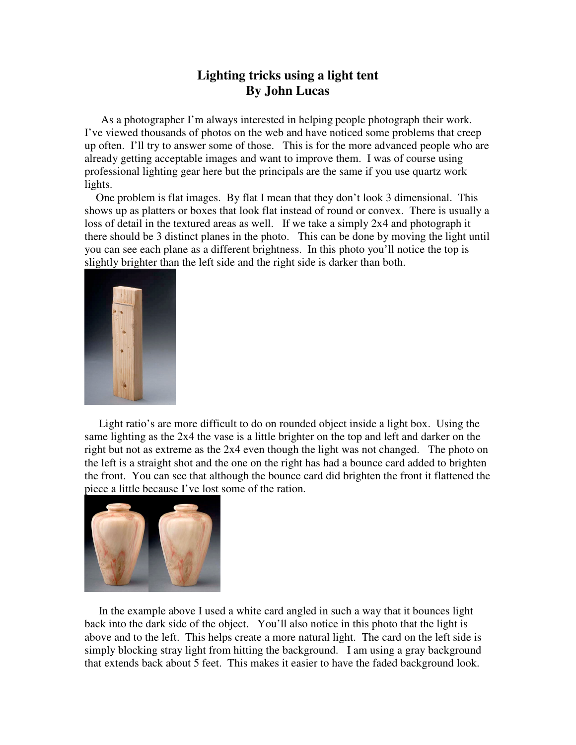## **Lighting tricks using a light tent By John Lucas**

As a photographer I'm always interested in helping people photograph their work. I've viewed thousands of photos on the web and have noticed some problems that creep up often. I'll try to answer some of those. This is for the more advanced people who are already getting acceptable images and want to improve them. I was of course using professional lighting gear here but the principals are the same if you use quartz work lights.

 One problem is flat images. By flat I mean that they don't look 3 dimensional. This shows up as platters or boxes that look flat instead of round or convex. There is usually a loss of detail in the textured areas as well. If we take a simply 2x4 and photograph it there should be 3 distinct planes in the photo. This can be done by moving the light until you can see each plane as a different brightness. In this photo you'll notice the top is slightly brighter than the left side and the right side is darker than both.



 Light ratio's are more difficult to do on rounded object inside a light box. Using the same lighting as the 2x4 the vase is a little brighter on the top and left and darker on the right but not as extreme as the 2x4 even though the light was not changed. The photo on the left is a straight shot and the one on the right has had a bounce card added to brighten the front. You can see that although the bounce card did brighten the front it flattened the piece a little because I've lost some of the ration.



 In the example above I used a white card angled in such a way that it bounces light back into the dark side of the object. You'll also notice in this photo that the light is above and to the left. This helps create a more natural light. The card on the left side is simply blocking stray light from hitting the background. I am using a gray background that extends back about 5 feet. This makes it easier to have the faded background look.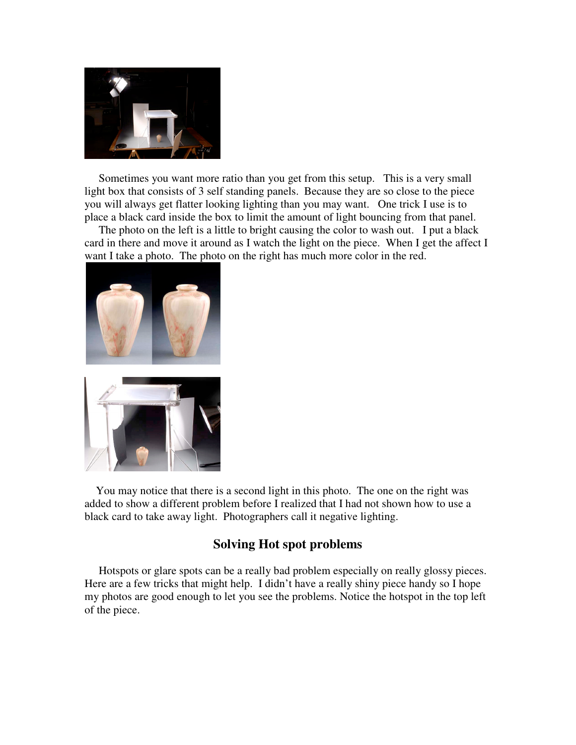

 Sometimes you want more ratio than you get from this setup. This is a very small light box that consists of 3 self standing panels. Because they are so close to the piece you will always get flatter looking lighting than you may want. One trick I use is to place a black card inside the box to limit the amount of light bouncing from that panel.

 The photo on the left is a little to bright causing the color to wash out. I put a black card in there and move it around as I watch the light on the piece. When I get the affect I want I take a photo. The photo on the right has much more color in the red.



 You may notice that there is a second light in this photo. The one on the right was added to show a different problem before I realized that I had not shown how to use a black card to take away light. Photographers call it negative lighting.

## **Solving Hot spot problems**

 Hotspots or glare spots can be a really bad problem especially on really glossy pieces. Here are a few tricks that might help. I didn't have a really shiny piece handy so I hope my photos are good enough to let you see the problems. Notice the hotspot in the top left of the piece.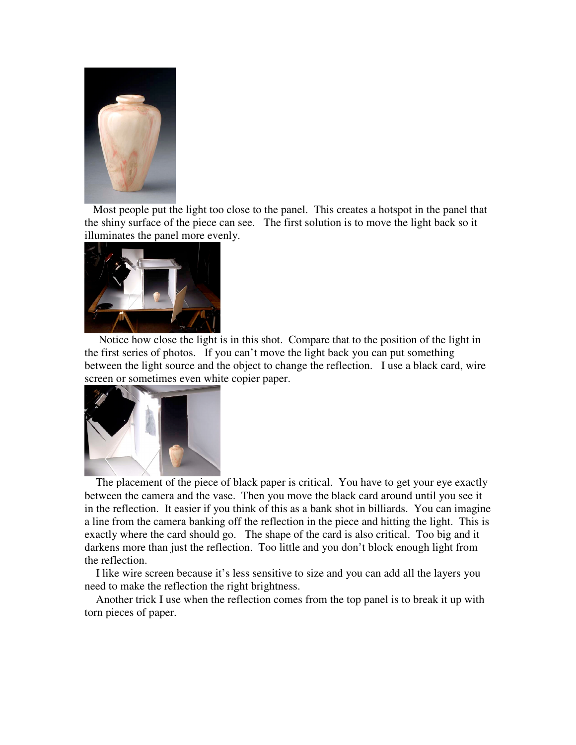

 Most people put the light too close to the panel. This creates a hotspot in the panel that the shiny surface of the piece can see. The first solution is to move the light back so it illuminates the panel more evenly.



 Notice how close the light is in this shot. Compare that to the position of the light in the first series of photos. If you can't move the light back you can put something between the light source and the object to change the reflection. I use a black card, wire screen or sometimes even white copier paper.



 The placement of the piece of black paper is critical. You have to get your eye exactly between the camera and the vase. Then you move the black card around until you see it in the reflection. It easier if you think of this as a bank shot in billiards. You can imagine a line from the camera banking off the reflection in the piece and hitting the light. This is exactly where the card should go. The shape of the card is also critical. Too big and it darkens more than just the reflection. Too little and you don't block enough light from the reflection.

 I like wire screen because it's less sensitive to size and you can add all the layers you need to make the reflection the right brightness.

 Another trick I use when the reflection comes from the top panel is to break it up with torn pieces of paper.